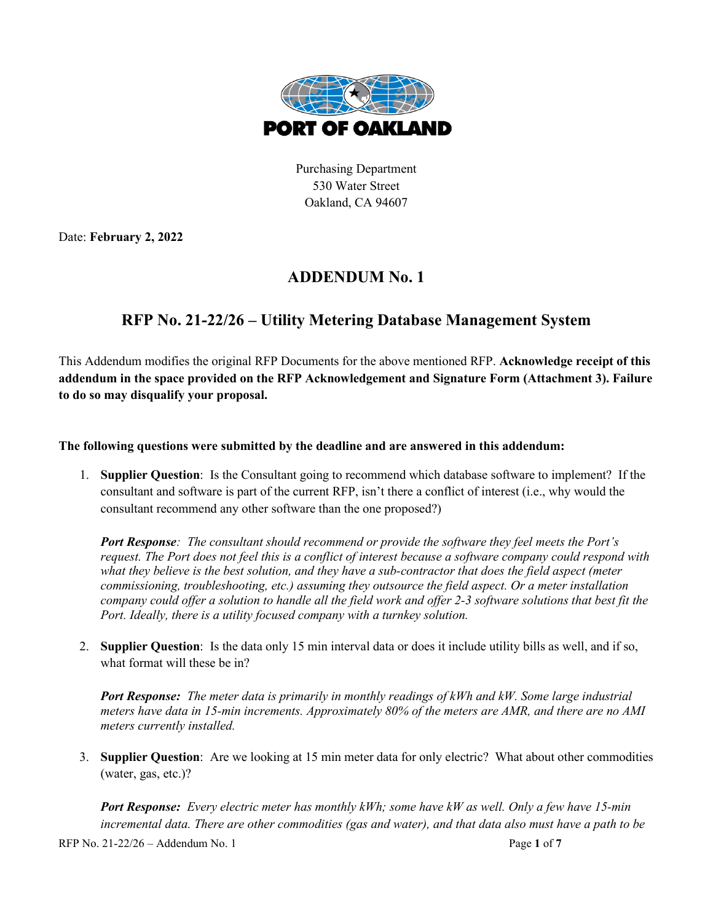

Purchasing Department 530 Water Street Oakland, CA 94607

Date: **February 2, 2022**

## **ADDENDUM No. 1**

## **RFP No. 21-22/26 – Utility Metering Database Management System**

This Addendum modifies the original RFP Documents for the above mentioned RFP. **Acknowledge receipt of this addendum in the space provided on the RFP Acknowledgement and Signature Form (Attachment 3). Failure to do so may disqualify your proposal.**

**The following questions were submitted by the deadline and are answered in this addendum:**

1. **Supplier Question**: Is the Consultant going to recommend which database software to implement? If the consultant and software is part of the current RFP, isn't there a conflict of interest (i.e., why would the consultant recommend any other software than the one proposed?)

*Port Response: The consultant should recommend or provide the software they feel meets the Port's request. The Port does not feel this is a conflict of interest because a software company could respond with what they believe is the best solution, and they have a sub-contractor that does the field aspect (meter commissioning, troubleshooting, etc.) assuming they outsource the field aspect. Or a meter installation company could offer a solution to handle all the field work and offer 2-3 software solutions that best fit the Port. Ideally, there is a utility focused company with a turnkey solution.*

2. **Supplier Question**: Is the data only 15 min interval data or does it include utility bills as well, and if so, what format will these be in?

*Port Response: The meter data is primarily in monthly readings of kWh and kW. Some large industrial meters have data in 15-min increments. Approximately 80% of the meters are AMR, and there are no AMI meters currently installed.* 

3. **Supplier Question**: Are we looking at 15 min meter data for only electric? What about other commodities (water, gas, etc.)?

*Port Response: Every electric meter has monthly kWh; some have kW as well. Only a few have 15-min incremental data. There are other commodities (gas and water), and that data also must have a path to be* 

RFP No. 21-22/26 – Addendum No. 1 Page **1** of **7**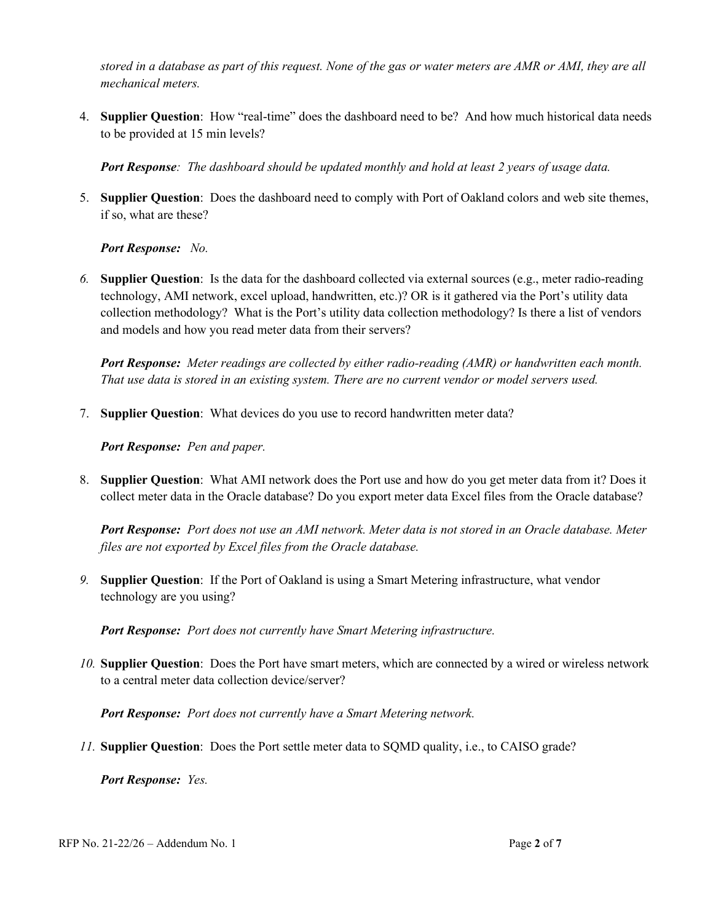*stored in a database as part of this request. None of the gas or water meters are AMR or AMI, they are all mechanical meters.*

4. **Supplier Question**: How "real-time" does the dashboard need to be? And how much historical data needs to be provided at 15 min levels?

*Port Response: The dashboard should be updated monthly and hold at least 2 years of usage data.*

5. **Supplier Question**: Does the dashboard need to comply with Port of Oakland colors and web site themes, if so, what are these?

*Port Response: No.*

*6.* **Supplier Question**: Is the data for the dashboard collected via external sources (e.g., meter radio-reading technology, AMI network, excel upload, handwritten, etc.)? OR is it gathered via the Port's utility data collection methodology? What is the Port's utility data collection methodology? Is there a list of vendors and models and how you read meter data from their servers?

*Port Response: Meter readings are collected by either radio-reading (AMR) or handwritten each month. That use data is stored in an existing system. There are no current vendor or model servers used.*

7. **Supplier Question**: What devices do you use to record handwritten meter data?

*Port Response: Pen and paper.*

8. **Supplier Question**: What AMI network does the Port use and how do you get meter data from it? Does it collect meter data in the Oracle database? Do you export meter data Excel files from the Oracle database?

*Port Response: Port does not use an AMI network. Meter data is not stored in an Oracle database. Meter files are not exported by Excel files from the Oracle database.*

*9.* **Supplier Question**: If the Port of Oakland is using a Smart Metering infrastructure, what vendor technology are you using?

*Port Response: Port does not currently have Smart Metering infrastructure.*

*10.* **Supplier Question**: Does the Port have smart meters, which are connected by a wired or wireless network to a central meter data collection device/server?

*Port Response: Port does not currently have a Smart Metering network.* 

*11.* **Supplier Question**: Does the Port settle meter data to SQMD quality, i.e., to CAISO grade?

*Port Response: Yes.*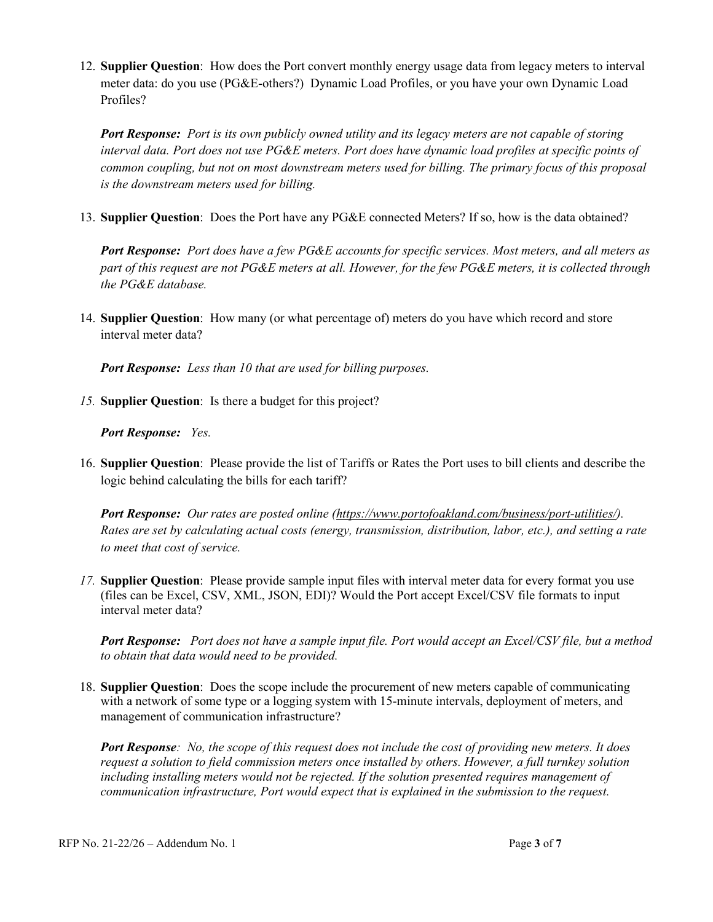12. **Supplier Question**: How does the Port convert monthly energy usage data from legacy meters to interval meter data: do you use (PG&E-others?) Dynamic Load Profiles, or you have your own Dynamic Load Profiles?

*Port Response: Port is its own publicly owned utility and its legacy meters are not capable of storing interval data. Port does not use PG&E meters. Port does have dynamic load profiles at specific points of common coupling, but not on most downstream meters used for billing. The primary focus of this proposal is the downstream meters used for billing.*

13. **Supplier Question**: Does the Port have any PG&E connected Meters? If so, how is the data obtained?

**Port Response:** Port does have a few PG&E accounts for specific services. Most meters, and all meters as *part of this request are not PG&E meters at all. However, for the few PG&E meters, it is collected through the PG&E database.*

14. **Supplier Question**: How many (or what percentage of) meters do you have which record and store interval meter data?

*Port Response: Less than 10 that are used for billing purposes.*

*15.* **Supplier Question**: Is there a budget for this project?

*Port Response: Yes.*

16. **Supplier Question**: Please provide the list of Tariffs or Rates the Port uses to bill clients and describe the logic behind calculating the bills for each tariff?

*Port Response: Our rates are posted online [\(https://www.portofoakland.com/business/port-utilities/\)](https://www.portofoakland.com/business/port-utilities/). Rates are set by calculating actual costs (energy, transmission, distribution, labor, etc.), and setting a rate to meet that cost of service.*

*17.* **Supplier Question**: Please provide sample input files with interval meter data for every format you use (files can be Excel, CSV, XML, JSON, EDI)? Would the Port accept Excel/CSV file formats to input interval meter data?

*Port Response: Port does not have a sample input file. Port would accept an Excel/CSV file, but a method to obtain that data would need to be provided.*

18. **Supplier Question**: Does the scope include the procurement of new meters capable of communicating with a network of some type or a logging system with 15-minute intervals, deployment of meters, and management of communication infrastructure?

*Port Response: No, the scope of this request does not include the cost of providing new meters. It does request a solution to field commission meters once installed by others. However, a full turnkey solution including installing meters would not be rejected. If the solution presented requires management of communication infrastructure, Port would expect that is explained in the submission to the request.*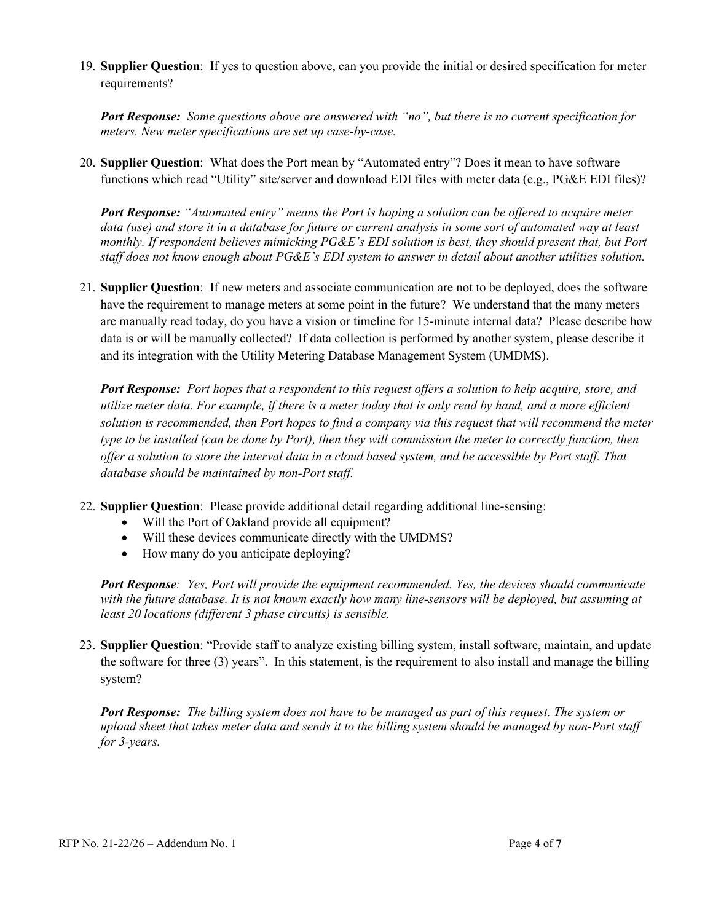19. **Supplier Question**: If yes to question above, can you provide the initial or desired specification for meter requirements?

*Port Response: Some questions above are answered with "no", but there is no current specification for meters. New meter specifications are set up case-by-case.*

20. **Supplier Question**: What does the Port mean by "Automated entry"? Does it mean to have software functions which read "Utility" site/server and download EDI files with meter data (e.g., PG&E EDI files)?

*Port Response: "Automated entry" means the Port is hoping a solution can be offered to acquire meter data (use) and store it in a database for future or current analysis in some sort of automated way at least monthly. If respondent believes mimicking PG&E's EDI solution is best, they should present that, but Port staff does not know enough about PG&E's EDI system to answer in detail about another utilities solution.*

21. **Supplier Question**: If new meters and associate communication are not to be deployed, does the software have the requirement to manage meters at some point in the future? We understand that the many meters are manually read today, do you have a vision or timeline for 15-minute internal data? Please describe how data is or will be manually collected? If data collection is performed by another system, please describe it and its integration with the Utility Metering Database Management System (UMDMS).

*Port Response: Port hopes that a respondent to this request offers a solution to help acquire, store, and utilize meter data. For example, if there is a meter today that is only read by hand, and a more efficient solution is recommended, then Port hopes to find a company via this request that will recommend the meter type to be installed (can be done by Port), then they will commission the meter to correctly function, then offer a solution to store the interval data in a cloud based system, and be accessible by Port staff. That database should be maintained by non-Port staff.*

- 22. **Supplier Question**: Please provide additional detail regarding additional line-sensing:
	- Will the Port of Oakland provide all equipment?
	- Will these devices communicate directly with the UMDMS?
	- How many do you anticipate deploying?

*Port Response: Yes, Port will provide the equipment recommended. Yes, the devices should communicate with the future database. It is not known exactly how many line-sensors will be deployed, but assuming at least 20 locations (different 3 phase circuits) is sensible.*

23. **Supplier Question**: "Provide staff to analyze existing billing system, install software, maintain, and update the software for three (3) years". In this statement, is the requirement to also install and manage the billing system?

*Port Response: The billing system does not have to be managed as part of this request. The system or upload sheet that takes meter data and sends it to the billing system should be managed by non-Port staff for 3-years.*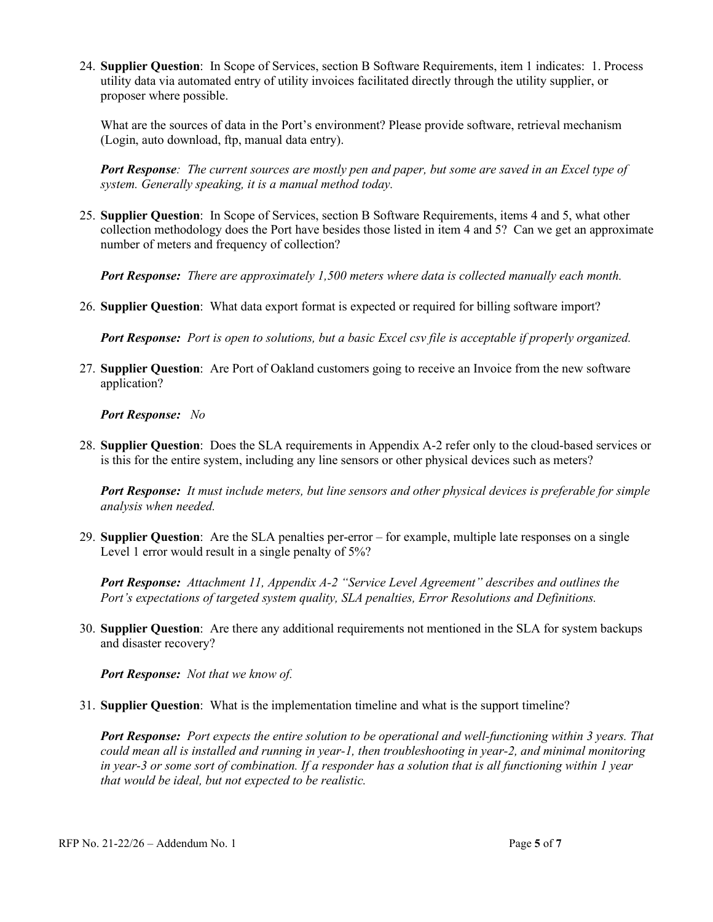24. **Supplier Question**: In Scope of Services, section B Software Requirements, item 1 indicates: 1. Process utility data via automated entry of utility invoices facilitated directly through the utility supplier, or proposer where possible.

What are the sources of data in the Port's environment? Please provide software, retrieval mechanism (Login, auto download, ftp, manual data entry).

*Port Response: The current sources are mostly pen and paper, but some are saved in an Excel type of system. Generally speaking, it is a manual method today.*

25. **Supplier Question**: In Scope of Services, section B Software Requirements, items 4 and 5, what other collection methodology does the Port have besides those listed in item 4 and 5? Can we get an approximate number of meters and frequency of collection?

*Port Response: There are approximately 1,500 meters where data is collected manually each month.* 

26. **Supplier Question**: What data export format is expected or required for billing software import?

*Port Response: Port is open to solutions, but a basic Excel csv file is acceptable if properly organized.*

27. **Supplier Question**: Are Port of Oakland customers going to receive an Invoice from the new software application?

*Port Response: No*

28. **Supplier Question**: Does the SLA requirements in Appendix A-2 refer only to the cloud-based services or is this for the entire system, including any line sensors or other physical devices such as meters?

*Port Response: It must include meters, but line sensors and other physical devices is preferable for simple analysis when needed.*

29. **Supplier Question**: Are the SLA penalties per-error – for example, multiple late responses on a single Level 1 error would result in a single penalty of 5%?

*Port Response: Attachment 11, Appendix A-2 "Service Level Agreement" describes and outlines the Port's expectations of targeted system quality, SLA penalties, Error Resolutions and Definitions.*

30. **Supplier Question**: Are there any additional requirements not mentioned in the SLA for system backups and disaster recovery?

*Port Response: Not that we know of.*

31. **Supplier Question**: What is the implementation timeline and what is the support timeline?

*Port Response: Port expects the entire solution to be operational and well-functioning within 3 years. That could mean all is installed and running in year-1, then troubleshooting in year-2, and minimal monitoring in year-3 or some sort of combination. If a responder has a solution that is all functioning within 1 year that would be ideal, but not expected to be realistic.*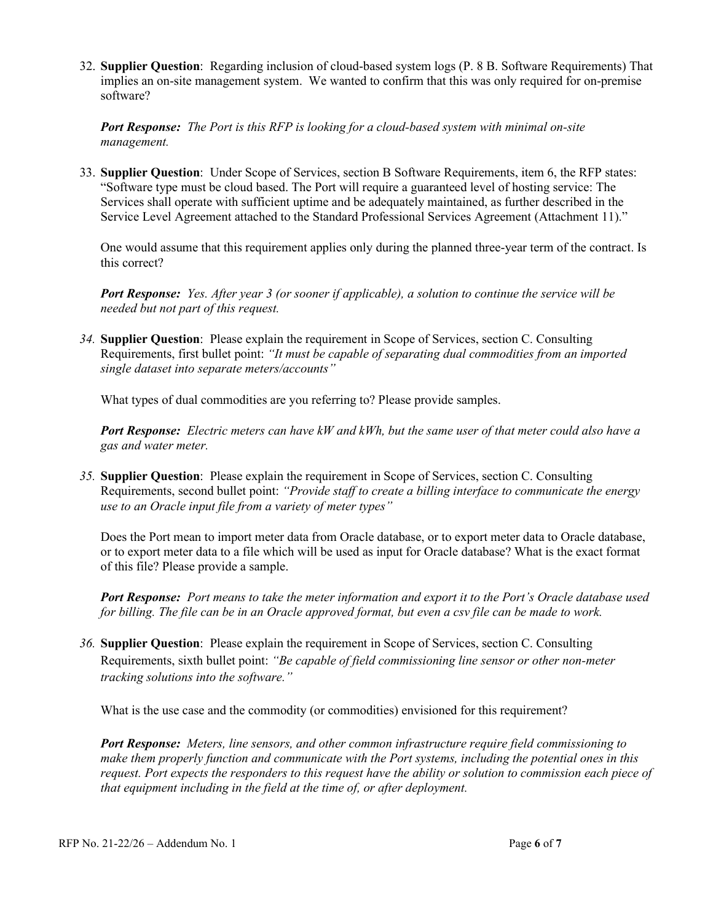32. **Supplier Question**: Regarding inclusion of cloud-based system logs (P. 8 B. Software Requirements) That implies an on-site management system. We wanted to confirm that this was only required for on-premise software?

*Port Response: The Port is this RFP is looking for a cloud-based system with minimal on-site management.*

33. **Supplier Question**: Under Scope of Services, section B Software Requirements, item 6, the RFP states: "Software type must be cloud based. The Port will require a guaranteed level of hosting service: The Services shall operate with sufficient uptime and be adequately maintained, as further described in the Service Level Agreement attached to the Standard Professional Services Agreement (Attachment 11)."

One would assume that this requirement applies only during the planned three-year term of the contract. Is this correct?

*Port Response: Yes. After year 3 (or sooner if applicable), a solution to continue the service will be needed but not part of this request.*

*34.* **Supplier Question**: Please explain the requirement in Scope of Services, section C. Consulting Requirements, first bullet point: *"It must be capable of separating dual commodities from an imported single dataset into separate meters/accounts"*

What types of dual commodities are you referring to? Please provide samples.

*Port Response: Electric meters can have kW and kWh, but the same user of that meter could also have a gas and water meter.*

*35.* **Supplier Question**: Please explain the requirement in Scope of Services, section C. Consulting Requirements, second bullet point: *"Provide staff to create a billing interface to communicate the energy use to an Oracle input file from a variety of meter types"*

Does the Port mean to import meter data from Oracle database, or to export meter data to Oracle database, or to export meter data to a file which will be used as input for Oracle database? What is the exact format of this file? Please provide a sample.

*Port Response: Port means to take the meter information and export it to the Port's Oracle database used for billing. The file can be in an Oracle approved format, but even a csv file can be made to work.*

*36.* **Supplier Question**: Please explain the requirement in Scope of Services, section C. Consulting Requirements, sixth bullet point: *"Be capable of field commissioning line sensor or other non-meter tracking solutions into the software."*

What is the use case and the commodity (or commodities) envisioned for this requirement?

*Port Response: Meters, line sensors, and other common infrastructure require field commissioning to make them properly function and communicate with the Port systems, including the potential ones in this request. Port expects the responders to this request have the ability or solution to commission each piece of that equipment including in the field at the time of, or after deployment.*